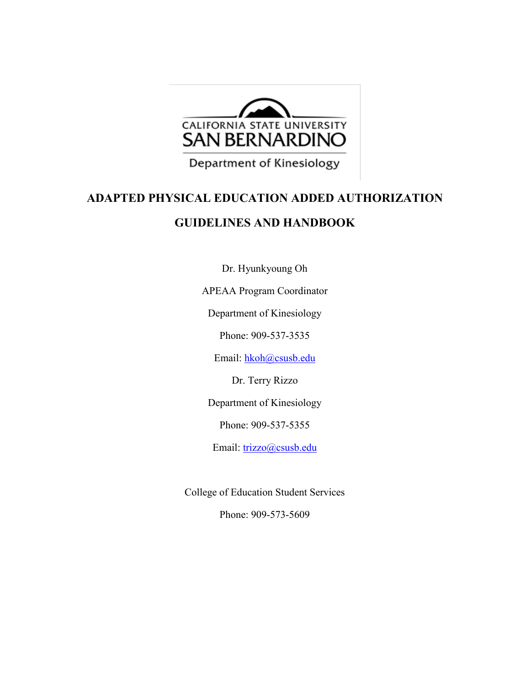

Department of Kinesiology

# **ADAPTED PHYSICAL EDUCATION ADDED AUTHORIZATION GUIDELINES AND HANDBOOK**

Dr. Hyunkyoung Oh

APEAA Program Coordinator

Department of Kinesiology

Phone: 909-537-3535

Email: [hkoh@csusb.edu](mailto:hkoh@csusb.edu)

Dr. Terry Rizzo

Department of Kinesiology

Phone: 909-537-5355

Email: [trizzo@csusb.edu](mailto:trizzo@csusb.edu)

College of Education Student Services

Phone: 909-573-5609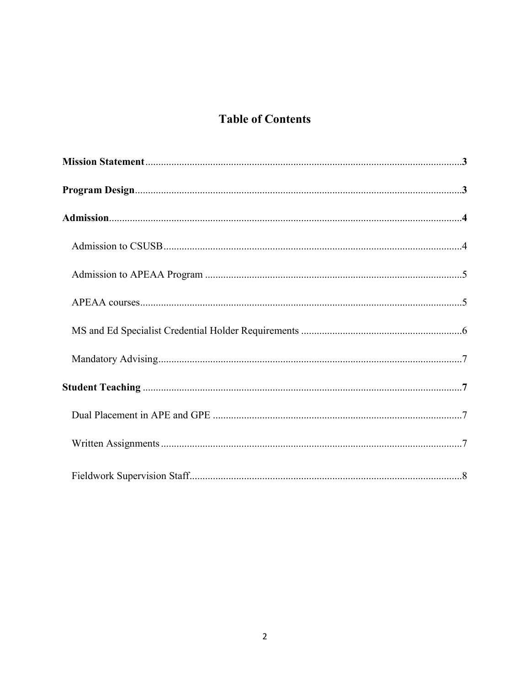# **Table of Contents**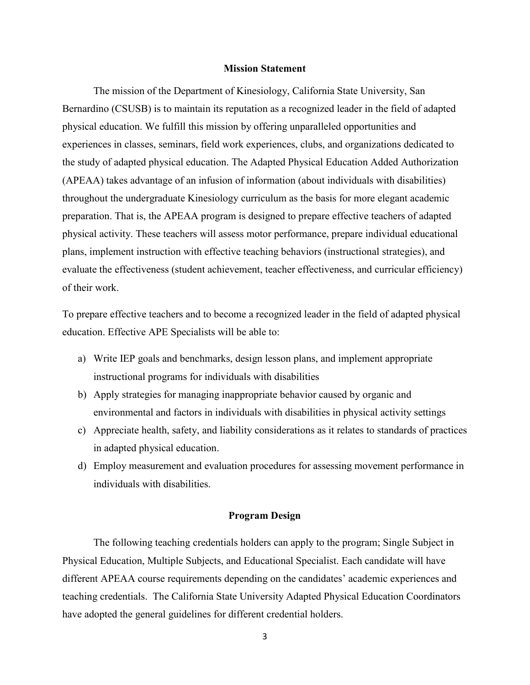#### **Mission Statement**

The mission of the Department of Kinesiology, California State University, San Bernardino (CSUSB) is to maintain its reputation as a recognized leader in the field of adapted physical education. We fulfill this mission by offering unparalleled opportunities and experiences in classes, seminars, field work experiences, clubs, and organizations dedicated to the study of adapted physical education. The Adapted Physical Education Added Authorization (APEAA) takes advantage of an infusion of information (about individuals with disabilities) throughout the undergraduate Kinesiology curriculum as the basis for more elegant academic preparation. That is, the APEAA program is designed to prepare effective teachers of adapted physical activity. These teachers will assess motor performance, prepare individual educational plans, implement instruction with effective teaching behaviors (instructional strategies), and evaluate the effectiveness (student achievement, teacher effectiveness, and curricular efficiency) of their work.

To prepare effective teachers and to become a recognized leader in the field of adapted physical education. Effective APE Specialists will be able to:

- a) Write IEP goals and benchmarks, design lesson plans, and implement appropriate instructional programs for individuals with disabilities
- b) Apply strategies for managing inappropriate behavior caused by organic and environmental and factors in individuals with disabilities in physical activity settings
- c) Appreciate health, safety, and liability considerations as it relates to standards of practices in adapted physical education.
- d) Employ measurement and evaluation procedures for assessing movement performance in individuals with disabilities.

#### **Program Design**

The following teaching credentials holders can apply to the program; Single Subject in Physical Education, Multiple Subjects, and Educational Specialist. Each candidate will have different APEAA course requirements depending on the candidates' academic experiences and teaching credentials. The California State University Adapted Physical Education Coordinators have adopted the general guidelines for different credential holders.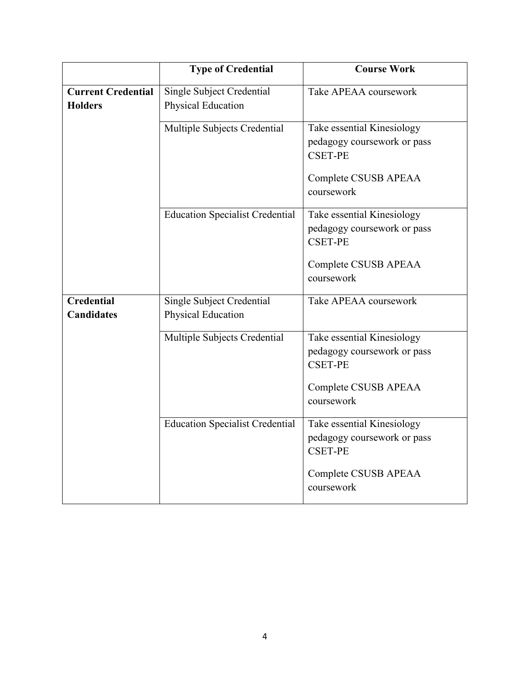|                                             | <b>Type of Credential</b>                       | <b>Course Work</b>                                                                                                |
|---------------------------------------------|-------------------------------------------------|-------------------------------------------------------------------------------------------------------------------|
| <b>Current Credential</b><br><b>Holders</b> | Single Subject Credential<br>Physical Education | Take APEAA coursework                                                                                             |
|                                             | Multiple Subjects Credential                    | Take essential Kinesiology<br>pedagogy coursework or pass<br><b>CSET-PE</b><br>Complete CSUSB APEAA<br>coursework |
|                                             | <b>Education Specialist Credential</b>          | Take essential Kinesiology<br>pedagogy coursework or pass<br><b>CSET-PE</b><br>Complete CSUSB APEAA<br>coursework |
| <b>Credential</b><br><b>Candidates</b>      | Single Subject Credential<br>Physical Education | Take APEAA coursework                                                                                             |
|                                             | Multiple Subjects Credential                    | Take essential Kinesiology<br>pedagogy coursework or pass<br><b>CSET-PE</b><br>Complete CSUSB APEAA<br>coursework |
|                                             | <b>Education Specialist Credential</b>          | Take essential Kinesiology<br>pedagogy coursework or pass<br><b>CSET-PE</b><br>Complete CSUSB APEAA<br>coursework |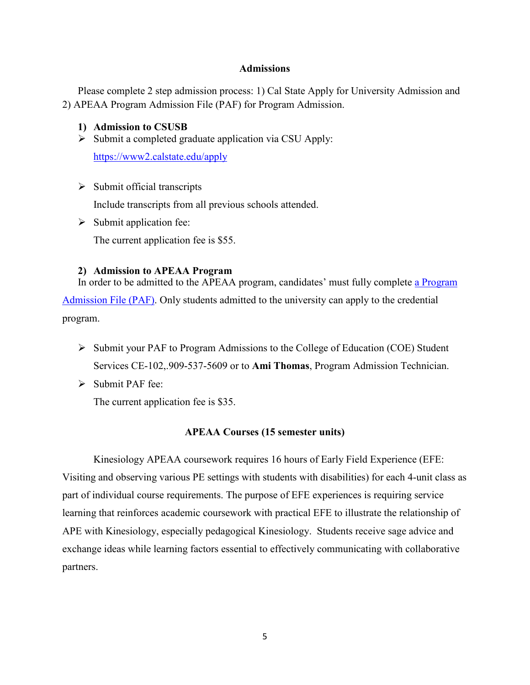#### **Admissions**

Please complete 2 step admission process: 1) Cal State Apply for University Admission and 2) APEAA Program Admission File (PAF) for Program Admission.

#### **1) Admission to CSUSB**

 $\triangleright$  Submit a completed graduate application via CSU Apply:

<https://www2.calstate.edu/apply>

- $\triangleright$  Submit official transcripts Include transcripts from all previous schools attended.
- $\triangleright$  Submit application fee: The current application fee is \$55.

#### **2) Admission to APEAA Program**

In order to be admitted to the APEAA program, candidates' must fully complete a Program [Admission File \(PAF\).](https://coe.csusb.edu/sites/csusb_coe/files/ADAPTED%20PE%20PAF%20APP%20DOCS%201-13-16.pdf) Only students admitted to the university can apply to the credential program.

- $\triangleright$  Submit your PAF to Program Admissions to the College of Education (COE) Student Services CE-102,.909-537-5609 or to **Ami Thomas**, Program Admission Technician.
- $\triangleright$  Submit PAF fee:

The current application fee is \$35.

#### **APEAA Courses (15 semester units)**

Kinesiology APEAA coursework requires 16 hours of Early Field Experience (EFE: Visiting and observing various PE settings with students with disabilities) for each 4-unit class as part of individual course requirements. The purpose of EFE experiences is requiring service learning that reinforces academic coursework with practical EFE to illustrate the relationship of APE with Kinesiology, especially pedagogical Kinesiology. Students receive sage advice and exchange ideas while learning factors essential to effectively communicating with collaborative partners.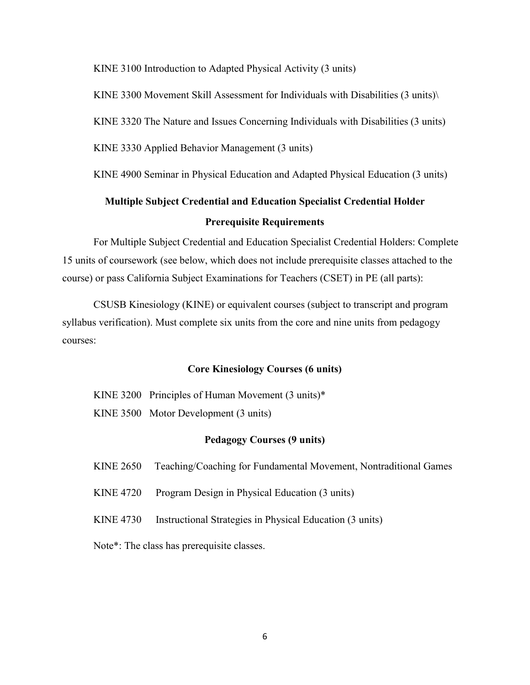KINE 3100 Introduction to Adapted Physical Activity (3 units)

KINE 3300 Movement Skill Assessment for Individuals with Disabilities (3 units)\

KINE 3320 The Nature and Issues Concerning Individuals with Disabilities (3 units)

KINE 3330 Applied Behavior Management (3 units)

KINE 4900 Seminar in Physical Education and Adapted Physical Education (3 units)

# **Multiple Subject Credential and Education Specialist Credential Holder Prerequisite Requirements**

For Multiple Subject Credential and Education Specialist Credential Holders: Complete 15 units of coursework (see below, which does not include prerequisite classes attached to the course) or pass California Subject Examinations for Teachers (CSET) in PE (all parts):

CSUSB Kinesiology (KINE) or equivalent courses (subject to transcript and program syllabus verification). Must complete six units from the core and nine units from pedagogy courses:

#### **Core Kinesiology Courses (6 units)**

KINE 3200 Principles of Human Movement (3 units)\* KINE 3500 Motor Development (3 units)

#### **Pedagogy Courses (9 units)**

- KINE 2650 Teaching/Coaching for Fundamental Movement, Nontraditional Games
- KINE 4720 Program Design in Physical Education (3 units)
- KINE 4730 Instructional Strategies in Physical Education (3 units)

Note\*: The class has prerequisite classes.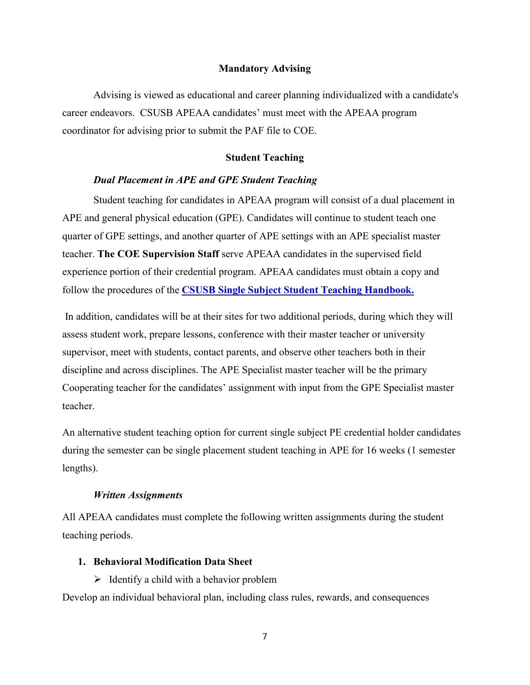#### **Mandatory Advising**

Advising is viewed as educational and career planning individualized with a candidate's career endeavors. CSUSB APEAA candidates' must meet with the APEAA program coordinator for advising prior to submit the PAF file to COE.

#### **Student Teaching**

#### *Dual Placement in APE and GPE Student Teaching*

Student teaching for candidates in APEAA program will consist of a dual placement in APE and general physical education (GPE). Candidates will continue to student teach one quarter of GPE settings, and another quarter of APE settings with an APE specialist master teacher. **The COE Supervision Staff** serve APEAA candidates in the supervised field experience portion of their credential program. APEAA candidates must obtain a copy and follow the procedures of the **[CSUSB Single Subject Student Teaching Handbook.](https://www.csusb.edu/sites/default/files/Revised_Single_Subject_Handbook_09012017v2.pdf)**

In addition, candidates will be at their sites for two additional periods, during which they will assess student work, prepare lessons, conference with their master teacher or university supervisor, meet with students, contact parents, and observe other teachers both in their discipline and across disciplines. The APE Specialist master teacher will be the primary Cooperating teacher for the candidates' assignment with input from the GPE Specialist master teacher.

An alternative student teaching option for current single subject PE credential holder candidates during the semester can be single placement student teaching in APE for 16 weeks (1 semester lengths).

#### *Written Assignments*

All APEAA candidates must complete the following written assignments during the student teaching periods.

#### **1. Behavioral Modification Data Sheet**

 $\triangleright$  Identify a child with a behavior problem

Develop an individual behavioral plan, including class rules, rewards, and consequences